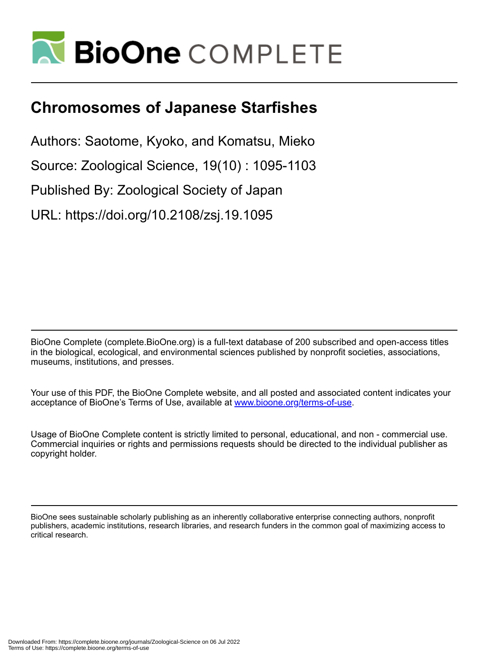

# **Chromosomes of Japanese Starfishes**

Authors: Saotome, Kyoko, and Komatsu, Mieko Source: Zoological Science, 19(10) : 1095-1103 Published By: Zoological Society of Japan URL: https://doi.org/10.2108/zsj.19.1095

BioOne Complete (complete.BioOne.org) is a full-text database of 200 subscribed and open-access titles in the biological, ecological, and environmental sciences published by nonprofit societies, associations, museums, institutions, and presses.

Your use of this PDF, the BioOne Complete website, and all posted and associated content indicates your acceptance of BioOne's Terms of Use, available at www.bioone.org/terms-of-use.

Usage of BioOne Complete content is strictly limited to personal, educational, and non - commercial use. Commercial inquiries or rights and permissions requests should be directed to the individual publisher as copyright holder.

BioOne sees sustainable scholarly publishing as an inherently collaborative enterprise connecting authors, nonprofit publishers, academic institutions, research libraries, and research funders in the common goal of maximizing access to critical research.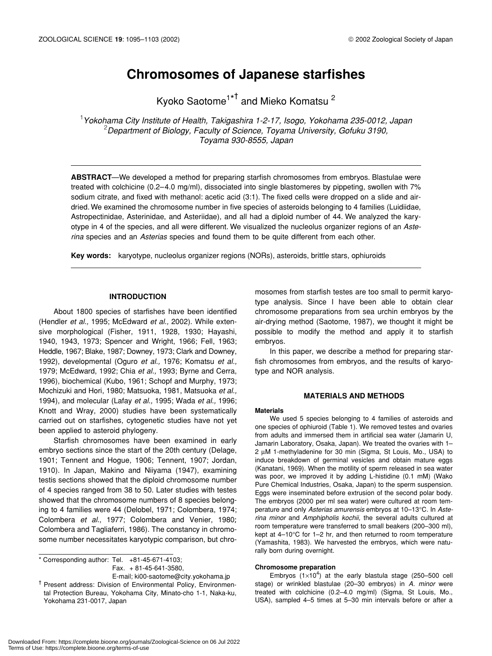# **Chromosomes of Japanese starfishes**

Kyoko Saotome<sup>1\*†</sup> and Mieko Komatsu <sup>2</sup>

1 *Yokohama City Institute of Health, Takigashira 1-2-17, Isogo, Yokohama 235-0012, Japan* 2 *Department of Biology, Faculty of Science, Toyama University, Gofuku 3190, Toyama 930-8555, Japan*

**ABSTRACT**—We developed a method for preparing starfish chromosomes from embryos. Blastulae were treated with colchicine (0.2–4.0 mg/ml), dissociated into single blastomeres by pippeting, swollen with 7% sodium citrate, and fixed with methanol: acetic acid (3:1). The fixed cells were dropped on a slide and airdried. We examined the chromosome number in five species of asteroids belonging to 4 families (Luidiidae, Astropectinidae, Asterinidae, and Asteriidae), and all had a diploid number of 44. We analyzed the karyotype in 4 of the species, and all were different. We visualized the nucleolus organizer regions of an *Asterina* species and an *Asterias* species and found them to be quite different from each other.

**Key words:** karyotype, nucleolus organizer regions (NORs), asteroids, brittle stars, ophiuroids

#### **INTRODUCTION**

About 1800 species of starfishes have been identified (Hendler *et al.,* 1995; McEdward *et al.,* 2002). While extensive morphological (Fisher, 1911, 1928, 1930; Hayashi, 1940, 1943, 1973; Spencer and Wright, 1966; Fell, 1963; Heddle, 1967; Blake, 1987; Downey, 1973; Clark and Downey, 1992), developmental (Oguro *et al.,* 1976; Komatsu *et al.,* 1979; McEdward, 1992; Chia *et al.,* 1993; Byrne and Cerra, 1996), biochemical (Kubo, 1961; Schopf and Murphy, 1973; Mochizuki and Hori, 1980; Matsuoka, 1981, Matsuoka *et al.,* 1994), and molecular (Lafay *et al.,* 1995; Wada *et al.,* 1996; Knott and Wray, 2000) studies have been systematically carried out on starfishes, cytogenetic studies have not yet been applied to asteroid phylogeny.

Starfish chromosomes have been examined in early embryo sections since the start of the 20th century (Delage, 1901; Tennent and Hogue, 1906; Tennent, 1907; Jordan, 1910). In Japan, Makino and Niiyama (1947), examining testis sections showed that the diploid chromosome number of 4 species ranged from 38 to 50. Later studies with testes showed that the chromosome numbers of 8 species belonging to 4 families were 44 (Delobel, 1971; Colombera, 1974; Colombera *et al*., 1977; Colombera and Venier, 1980; Colombera and Tagliaferri, 1986). The constancy in chromosome number necessitates karyotypic comparison, but chro-

\* Corresponding author: Tel. +81-45-671-4103; Fax. + 81-45-641-3580,

E-mail; ki00-saotome@city.yokohama.jp

mosomes from starfish testes are too small to permit karyotype analysis. Since I have been able to obtain clear chromosome preparations from sea urchin embryos by the air-drying method (Saotome, 1987), we thought it might be possible to modify the method and apply it to starfish embryos.

In this paper, we describe a method for preparing starfish chromosomes from embryos, and the results of karyotype and NOR analysis.

#### **MATERIALS AND METHODS**

#### **Materials**

We used 5 species belonging to 4 families of asteroids and one species of ophiuroid (Table 1). We removed testes and ovaries from adults and immersed them in artificial sea water (Jamarin U, Jamarin Laboratory, Osaka, Japan). We treated the ovaries with 1– 2 µM 1-methyladenine for 30 min (Sigma, St Louis, Mo., USA) to induce breakdown of germinal vesicles and obtain mature eggs (Kanatani, 1969). When the motility of sperm released in sea water was poor, we improved it by adding L-histidine (0.1 mM) (Wako Pure Chemical Industries, Osaka, Japan) to the sperm suspension. Eggs were inseminated before extrusion of the second polar body. The embryos (2000 per ml sea water) were cultured at room temperature and only *Asterias amurensis* embryos at 10–13°C. In *Asterina minor* and *Amphipholis kochii,* the several adults cultured at room temperature were transferred to small beakers (200–300 ml), kept at 4–10°C for 1–2 hr, and then returned to room temperature (Yamashita, 1983). We harvested the embryos, which were naturally born during overnight.

#### **Chromosome preparation**

Embryos  $(1 \times 10^4)$  at the early blastula stage (250-500 cell stage) or wrinkled blastulae (20–30 embryos) in *A. minor* were treated with colchicine (0.2–4.0 mg/ml) (Sigma, St Louis, Mo., USA), sampled 4–5 times at 5–30 min intervals before or after a

<sup>†</sup> Present address: Division of Environmental Policy, Environmental Protection Bureau, Yokohama City, Minato-cho 1-1, Naka-ku, Yokohama 231-0017, Japan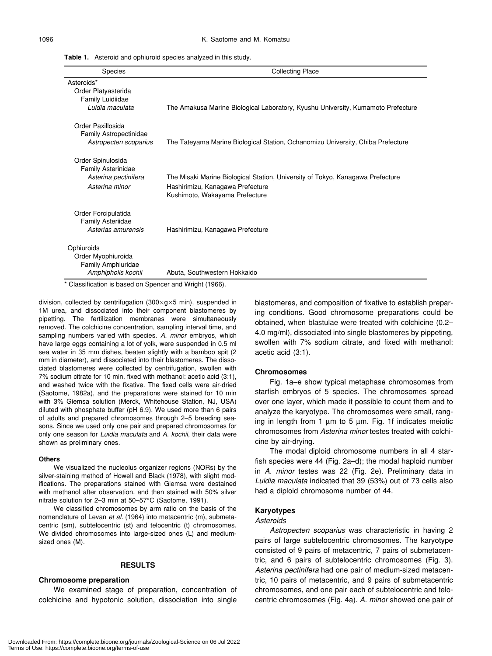**Table 1.** Asteroid and ophiuroid species analyzed in this study.

| <b>Species</b>                                                               | <b>Collecting Place</b>                                                          |
|------------------------------------------------------------------------------|----------------------------------------------------------------------------------|
| Asteroids*<br>Order Platyasterida<br>Family Luidiidae                        |                                                                                  |
| Luidia maculata                                                              | The Amakusa Marine Biological Laboratory, Kyushu University, Kumamoto Prefecture |
| Order Paxillosida<br><b>Family Astropectinidae</b>                           |                                                                                  |
| Astropecten scoparius                                                        | The Tateyama Marine Biological Station, Ochanomizu University, Chiba Prefecture  |
| Order Spinulosida<br><b>Family Asterinidae</b><br>Asterina pectinifera       | The Misaki Marine Biological Station, University of Tokyo, Kanagawa Prefecture   |
| Asterina minor                                                               | Hashirimizu, Kanagawa Prefecture<br>Kushimoto, Wakayama Prefecture               |
| Order Forcipulatida<br><b>Family Asteriidae</b><br>Asterias amurensis        | Hashirimizu, Kanagawa Prefecture                                                 |
| Ophiuroids<br>Order Myophiuroida<br>Family Amphiuridae<br>Amphipholis kochii | Abuta. Southwestern Hokkaido                                                     |

\* Classification is based on Spencer and Wright (1966).

division, collected by centrifugation (300 $\times$ g $\times$ 5 min), suspended in 1M urea, and dissociated into their component blastomeres by pipetting. The fertilization membranes were simultaneously removed. The colchicine concentration, sampling interval time, and sampling numbers varied with species. *A. minor* embryos, which have large eggs containing a lot of yolk, were suspended in 0.5 ml sea water in 35 mm dishes, beaten slightly with a bamboo spit (2 mm in diameter), and dissociated into their blastomeres. The dissociated blastomeres were collected by centrifugation, swollen with 7% sodium citrate for 10 min, fixed with methanol: acetic acid (3:1), and washed twice with the fixative. The fixed cells were air-dried (Saotome, 1982a), and the preparations were stained for 10 min with 3% Giemsa solution (Merck, Whitehouse Station, NJ, USA) diluted with phosphate buffer (pH 6.9). We used more than 6 pairs of adults and prepared chromosomes through 2–5 breeding seasons. Since we used only one pair and prepared chromosomes for only one season for *Luidia maculata* and *A. kochii*, their data were shown as preliminary ones.

#### **Others**

We visualized the nucleolus organizer regions (NORs) by the silver-staining method of Howell and Black (1978), with slight modifications. The preparations stained with Giemsa were destained with methanol after observation, and then stained with 50% silver nitrate solution for 2–3 min at 50–57°C (Saotome, 1991).

We classified chromosomes by arm ratio on the basis of the nomenclature of Levan *et al.* (1964) into metacentric (m), submetacentric (sm), subtelocentric (st) and telocentric (t) chromosomes. We divided chromosomes into large-sized ones (L) and mediumsized ones (M).

#### **RESULTS**

## **Chromosome preparation**

We examined stage of preparation, concentration of colchicine and hypotonic solution, dissociation into single blastomeres, and composition of fixative to establish preparing conditions. Good chromosome preparations could be obtained, when blastulae were treated with colchicine (0.2– 4.0 mg/ml), dissociated into single blastomeres by pippeting, swollen with 7% sodium citrate, and fixed with methanol: acetic acid (3:1).

#### **Chromosomes**

Fig. 1a–e show typical metaphase chromosomes from starfish embryos of 5 species. The chromosomes spread over one layer, which made it possible to count them and to analyze the karyotype. The chromosomes were small, ranging in length from 1  $\mu$ m to 5  $\mu$ m. Fig. 1f indicates meiotic chromosomes from *Asterina minor* testes treated with colchicine by air-drying.

The modal diploid chromosome numbers in all 4 starfish species were 44 (Fig. 2a–d); the modal haploid number in *A. minor* testes was 22 (Fig. 2e). Preliminary data in *Luidia maculata* indicated that 39 (53%) out of 73 cells also had a diploid chromosome number of 44.

# **Karyotypes**

#### *Asteroids*

*Astropecten scoparius* was characteristic in having 2 pairs of large subtelocentric chromosomes. The karyotype consisted of 9 pairs of metacentric, 7 pairs of submetacentric, and 6 pairs of subtelocentric chromosomes (Fig. 3). *Asterina pectinifera* had one pair of medium-sized metacentric, 10 pairs of metacentric, and 9 pairs of submetacentric chromosomes, and one pair each of subtelocentric and telocentric chromosomes (Fig. 4a). *A. minor* showed one pair of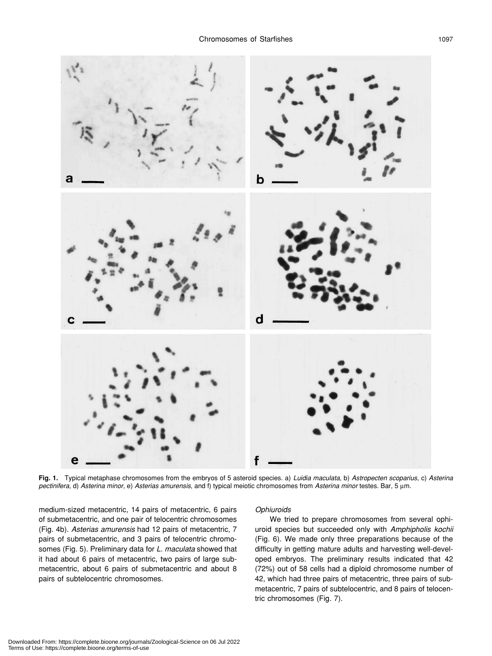

**Fig. 1.** Typical metaphase chromosomes from the embryos of 5 asteroid species. a) *Luidia maculata*, b) *Astropecten scoparius*, c) *Asterina pectinifera*, d) *Asterina minor*, e) *Asterias amurensis*, and f) typical meiotic chromosomes from *Asterina minor* testes. Bar, 5 µm.

medium-sized metacentric, 14 pairs of metacentric, 6 pairs of submetacentric, and one pair of telocentric chromosomes (Fig. 4b). *Asterias amurensis* had 12 pairs of metacentric, 7 pairs of submetacentric, and 3 pairs of telocentric chromosomes (Fig. 5). Preliminary data for *L. maculata* showed that it had about 6 pairs of metacentric, two pairs of large submetacentric, about 6 pairs of submetacentric and about 8 pairs of subtelocentric chromosomes.

# *Ophiuroids*

We tried to prepare chromosomes from several ophiuroid species but succeeded only with *Amphipholis kochii* (Fig. 6). We made only three preparations because of the difficulty in getting mature adults and harvesting well-developed embryos. The preliminary results indicated that 42 (72%) out of 58 cells had a diploid chromosome number of 42, which had three pairs of metacentric, three pairs of submetacentric, 7 pairs of subtelocentric, and 8 pairs of telocentric chromosomes (Fig. 7).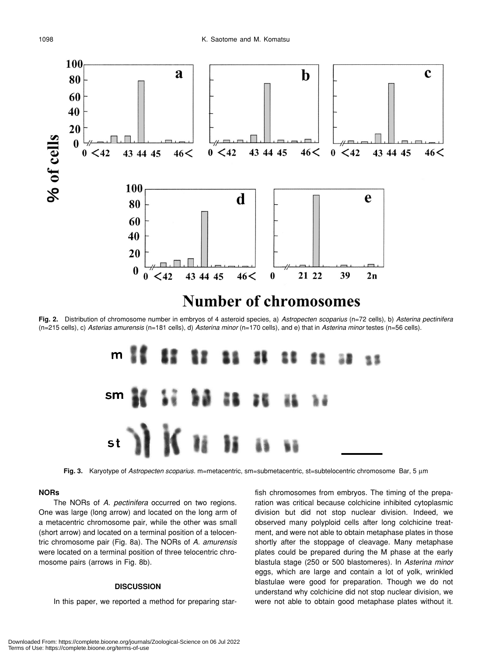

**Fig. 2.** Distribution of chromosome number in embryos of 4 asteroid species, a) *Astropecten scoparius* (n=72 cells), b) *Asterina pectinifera* (n=215 cells), c) *Asterias amurensis* (n=181 cells), d) *Asterina minor* (n=170 cells), and e) that in *Asterina minor* testes (n=56 cells).



**Fig. 3.** Karyotype of *Astropecten scoparius*. m=metacentric, sm=submetacentric, st=subtelocentric chromosome Bar, 5 µm

# **NORs**

The NORs of *A. pectinifera* occurred on two regions. One was large (long arrow) and located on the long arm of a metacentric chromosome pair, while the other was small (short arrow) and located on a terminal position of a telocentric chromosome pair (Fig. 8a). The NORs of *A. amurensis* were located on a terminal position of three telocentric chromosome pairs (arrows in Fig. 8b).

# **DISCUSSION**

In this paper, we reported a method for preparing star-

fish chromosomes from embryos. The timing of the preparation was critical because colchicine inhibited cytoplasmic division but did not stop nuclear division. Indeed, we observed many polyploid cells after long colchicine treatment, and were not able to obtain metaphase plates in those shortly after the stoppage of cleavage. Many metaphase plates could be prepared during the M phase at the early blastula stage (250 or 500 blastomeres). In *Asterina minor* eggs, which are large and contain a lot of yolk, wrinkled blastulae were good for preparation. Though we do not understand why colchicine did not stop nuclear division, we were not able to obtain good metaphase plates without it.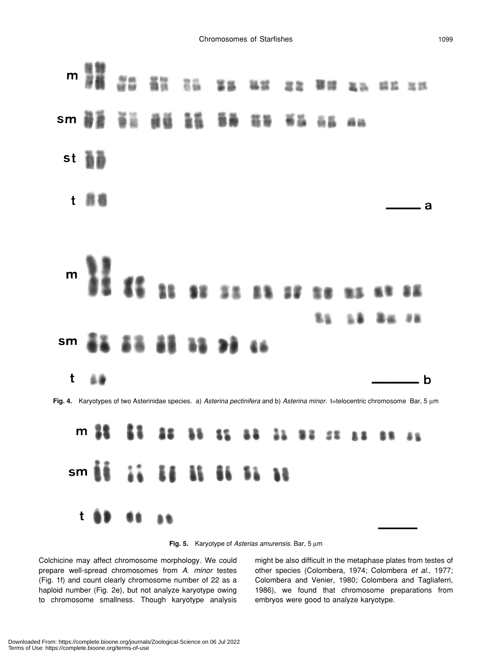



**Fig. 5.** Karyotype of *Asterias amurensis*. Bar, 5 µm

Colchicine may affect chromosome morphology. We could prepare well-spread chromosomes from *A. minor* testes (Fig. 1f) and count clearly chromosome number of 22 as a haploid number (Fig. 2e), but not analyze karyotype owing to chromosome smallness. Though karyotype analysis

 $m$ 

might be also difficult in the metaphase plates from testes of other species (Colombera, 1974; Colombera *et al*., 1977; Colombera and Venier, 1980; Colombera and Tagliaferri, 1986), we found that chromosome preparations from embryos were good to analyze karyotype.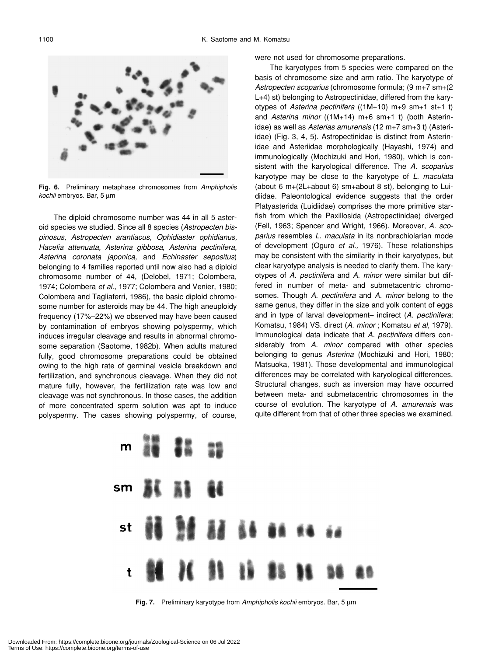

**Fig. 6.** Preliminary metaphase chromosomes from *Amphipholis kochii* embryos. Bar, 5 µm

The diploid chromosome number was 44 in all 5 asteroid species we studied*.* Since all 8 species (*Astropecten bispinosus, Astropecten arantiacus, Ophidiaster ophidianus, Hacelia attenuata, Asterina gibbosa*, *Asterina pectinifera, Asterina coronata japonica,* and *Echinaster sepositus*) belonging to 4 families reported until now also had a diploid chromosome number of 44, (Delobel, 1971; Colombera, 1974; Colombera *et al*., 1977; Colombera and Venier, 1980; Colombera and Tagliaferri, 1986), the basic diploid chromosome number for asteroids may be 44. The high aneuploidy frequency (17%–22%) we observed may have been caused by contamination of embryos showing polyspermy, which induces irregular cleavage and results in abnormal chromosome separation (Saotome, 1982b). When adults matured fully, good chromosome preparations could be obtained owing to the high rate of germinal vesicle breakdown and fertilization, and synchronous cleavage. When they did not mature fully, however, the fertilization rate was low and cleavage was not synchronous. In those cases, the addition of more concentrated sperm solution was apt to induce polyspermy. The cases showing polyspermy, of course,

were not used for chromosome preparations.

The karyotypes from 5 species were compared on the basis of chromosome size and arm ratio. The karyotype of *Astropecten scoparius* (chromosome formula; (9 m+7 sm+(2 L+4) st) belonging to Astropectinidae, differed from the karyotypes of *Asterina pectinifera* ((1M+10) m+9 sm+1 st+1 t) and *Asterina minor* ((1M+14) m+6 sm+1 t) (both Asterinidae) as well as *Asterias amurensis* (12 m+7 sm+3 t) (Asteriidae) (Fig. 3, 4, 5). Astropectinidae is distinct from Asterinidae and Asteriidae morphologically (Hayashi, 1974) and immunologically (Mochizuki and Hori, 1980), which is consistent with the karyological difference. The *A. scoparius* karyotype may be close to the karyotype of *L. maculata* (about 6 m+(2L+about 6) sm+about 8 st)*,* belonging to Luidiidae. Paleontological evidence suggests that the order Platyasterida (Luidiidae) comprises the more primitive starfish from which the Paxillosida (Astropectinidae) diverged (Fell, 1963; Spencer and Wright, 1966). Moreover, *A. scoparius* resembles *L. maculata* in its nonbrachiolarian mode of development (Oguro *et al.,* 1976). These relationships may be consistent with the similarity in their karyotypes*,* but clear karyotype analysis is needed to clarify them. The karyotypes of *A. pectinifera* and *A. minor* were similar but differed in number of meta- and submetacentric chromosomes. Though *A. pectinifera* and *A. minor* belong to the same genus, they differ in the size and yolk content of eggs and in type of larval development– indirect (*A. pectinifera*; Komatsu, 1984) VS. direct (*A. minor* ; Komatsu *et al,* 1979). Immunological data indicate that *A. pectinifera* differs considerably from *A. minor* compared with other species belonging to genus *Asterina* (Mochizuki and Hori, 1980; Matsuoka, 1981). Those developmental and immunological differences may be correlated with karyological differences. Structural changes, such as inversion may have occurred between meta- and submetacentric chromosomes in the course of evolution. The karyotype of *A. amurensis* was quite different from that of other three species we examined.



**Fig. 7.** Preliminary karyotype from *Amphipholis kochii* embryos. Bar, 5 µm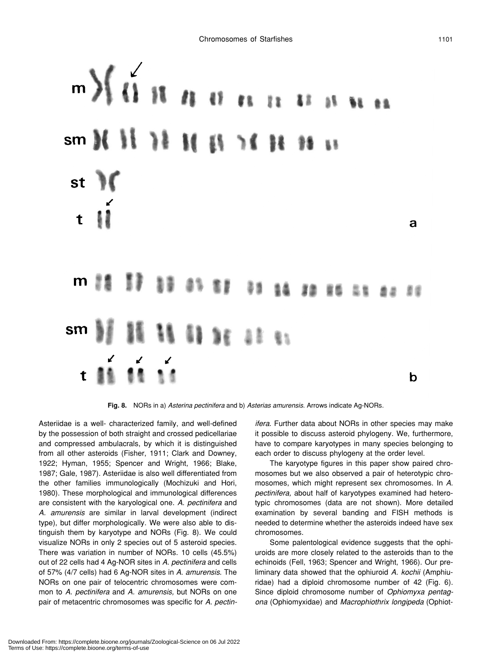

**Fig. 8.** NORs in a) *Asterina pectinifera* and b) *Asterias amurensis*. Arrows indicate Ag-NORs.

Asteriidae is a well- characterized family, and well-defined by the possession of both straight and crossed pedicellariae and compressed ambulacrals, by which it is distinguished from all other asteroids (Fisher, 1911; Clark and Downey, 1922; Hyman, 1955; Spencer and Wright, 1966; Blake, 1987; Gale, 1987). Asteriidae is also well differentiated from the other families immunologically (Mochizuki and Hori, 1980). These morphological and immunological differences are consistent with the karyological one. *A. pectinifera* and *A. amurensis* are similar in larval development (indirect type), but differ morphologically. We were also able to distinguish them by karyotype and NORs (Fig. 8). We could visualize NORs in only 2 species out of 5 asteroid species. There was variation in number of NORs. 10 cells (45.5%) out of 22 cells had 4 Ag-NOR sites in *A. pectinifera* and cells of 57% (4/7 cells) had 6 Ag-NOR sites in *A. amurensis*. The NORs on one pair of telocentric chromosomes were common to *A. pectinifera* and *A. amurensis,* but NORs on one pair of metacentric chromosomes was specific for *A. pectin-*

*ifera*. Further data about NORs in other species may make it possible to discuss asteroid phylogeny. We, furthermore, have to compare karyotypes in many species belonging to each order to discuss phylogeny at the order level.

The karyotype figures in this paper show paired chromosomes but we also observed a pair of heterotypic chromosomes, which might represent sex chromosomes. In *A. pectinifera,* about half of karyotypes examined had heterotypic chromosomes (data are not shown). More detailed examination by several banding and FISH methods is needed to determine whether the asteroids indeed have sex chromosomes.

Some palentological evidence suggests that the ophiuroids are more closely related to the asteroids than to the echinoids (Fell, 1963; Spencer and Wright, 1966). Our preliminary data showed that the ophiuroid *A. kochii* (Amphiuridae) had a diploid chromosome number of 42 (Fig. 6). Since diploid chromosome number of *Ophiomyxa pentagona* (Ophiomyxidae) and *Macrophiothrix longipeda* (Ophiot-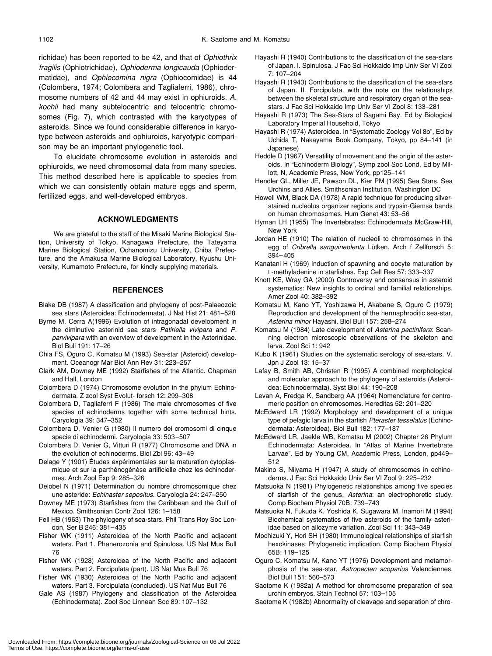richidae) has been reported to be 42, and that of *Ophiothrix fragilis* (Ophiotrichidae)*, Ophioderma longicauda* (Ophiodermatidae)*,* and *Ophiocomina nigra* (Ophiocomidae) is 44 (Colombera, 1974; Colombera and Tagliaferri, 1986), chromosome numbers of 42 and 44 may exist in ophiuroids. *A. kochii* had many subtelocentric and telocentric chromosomes (Fig. 7), which contrasted with the karyotypes of asteroids. Since we found considerable difference in karyotype between asteroids and ophiuroids, karyotypic comparison may be an important phylogenetic tool.

To elucidate chromosome evolution in asteroids and ophiuroids, we need chromosomal data from many species. This method described here is applicable to species from which we can consistently obtain mature eggs and sperm, fertilized eggs, and well-developed embryos.

# **ACKNOWLEDGMENTS**

We are grateful to the staff of the Misaki Marine Biological Station, University of Tokyo, Kanagawa Prefecture, the Tateyama Marine Biological Station, Ochanomizu University, Chiba Prefecture, and the Amakusa Marine Biological Laboratory, Kyushu University, Kumamoto Prefecture, for kindly supplying materials.

#### **REFERENCES**

- Blake DB (1987) A classification and phylogeny of post-Palaeozoic sea stars (Asteroidea: Echinodermata). J Nat Hist 21: 481–528
- Byrne M, Cerra A(1996) Evolution of intragonadal development in the diminutive asterinid sea stars *Patiriella vivipara* and *P. parvivipara* with an overview of development in the Asterinidae. Biol Bull 191: 17–26
- Chia FS, Oguro C, Komatsu M (1993) Sea-star (Asteroid) development. Oceanogr Mar Biol Ann Rev 31: 223–257
- Clark AM, Downey ME (1992) Starfishes of the Atlantic. Chapman and Hall, London
- Colombera D (1974) Chromosome evolution in the phylum Echinodermata. Z zool Syst Evolut- forsch 12: 299–308
- Colombera D, Tagliaferri F (1986) The male chromosomes of five species of echinoderms together with some technical hints. Caryologia 39: 347–352
- Colombera D, Venier G (1980) Il numero dei cromosomi di cinque specie di echinodermi. Caryologia 33: 503–507
- Colombera D, Venier G, Vitturi R (1977) Chromosome and DNA in the evolution of echinoderms. Biol Zbl 96: 43–49
- Delage Y (1901) Études expérimentales sur la maturation cytoplasmique et sur la parthénogénèse artificielle chez les échinodermes. Arch Zool Exp 9: 285–326
- Delobel N (1971) Determination du nombre chromosomique chez une asteride: *Echinaster sepositus.* Caryologia 24: 247–250
- Downey ME (1973) Starfishes from the Caribbean and the Gulf of Mexico. Smithsonian Contr Zool 126: 1–158
- Fell HB (1963) The phylogeny of sea-stars. Phil Trans Roy Soc London, Ser B 246: 381–435
- Fisher WK (1911) Asteroidea of the North Pacific and adjacent waters. Part 1. Phanerozonia and Spinulosa. US Nat Mus Bull 76
- Fisher WK (1928) Asteroidea of the North Pacific and adjacent waters. Part 2. Forcipulata (part). US Nat Mus Bull 76
- Fisher WK (1930) Asteroidea of the North Pacific and adjacent waters. Part 3. Forcipulata (concluded). US Nat Mus Bull 76
- Gale AS (1987) Phylogeny and classification of the Asteroidea (Echinodermata). Zool Soc Linnean Soc 89: 107–132
- Hayashi R (1940) Contributions to the classification of the sea-stars of Japan. I. Spinulosa. J Fac Sci Hokkaido Imp Univ Ser VI Zool 7: 107–204
- Hayashi R (1943) Contributions to the classification of the sea-stars of Japan. II. Forcipulata, with the note on the relationships between the skeletal structure and respiratory organ of the seastars. J Fac Sci Hokkaido Imp Univ Ser VI Zool 8: 133–281
- Hayashi R (1973) The Sea-Stars of Sagami Bay. Ed by Biological Laboratory Imperial Household, Tokyo
- Hayashi R (1974) Asteroidea. In "Systematic Zoology Vol 8b", Ed by Uchida T, Nakayama Book Company, Tokyo, pp 84–141 (in Japanese)
- Heddle D (1967) Versatility of movement and the origin of the asteroids. In "Echinoderm Biology", Symp zool Soc Lond, Ed by Millott, N, Academic Press, New York, pp125–141
- Hendler GL, Miller JE, Pawson DL, Kier PM (1995) Sea Stars, Sea Urchins and Allies. Smithsonian Institution, Washington DC
- Howell WM, Black DA (1978) A rapid technique for producing silverstained nucleolus organizer regions and trypsin-Giemsa bands on human chromosomes. Hum Genet 43: 53–56
- Hyman LH (1955) The Invertebrates: Echinodermata McGraw-Hill, New York
- Jordan HE (1910) The relation of nucleoli to chromosomes in the egg of *Cribrella sanguineolenta* Lütken. Arch f Zellforsch 5: 394–405
- Kanatani H (1969) Induction of spawning and oocyte maturation by L-methyladenine in starfishes. Exp Cell Res 57: 333–337
- Knott KE, Wray GA (2000) Controversy and consensus in asteroid systematics: New insights to ordinal and familial relationships. Amer Zool 40: 382–392
- Komatsu M, Kano YT, Yoshizawa H, Akabane S, Oguro C (1979) Reproduction and development of the hermaphroditic sea-star, *Asterina minor* Hayashi. Biol Bull 157: 258–274
- Komatsu M (1984) Late development of *Asterina pectinifera*: Scanning electron microscopic observations of the skeleton and larva. Zool Sci 1: 942
- Kubo K (1961) Studies on the systematic serology of sea-stars. V. Jpn J Zool 13: 15–37
- Lafay B, Smith AB, Christen R (1995) A combined morphological and molecular approach to the phylogeny of asteroids (Asteroidea: Echinodermata). Syst Biol 44: 190–208
- Levan A, Fredga K, Sandberg AA (1964) Nomenclature for centromeric position on chromosomes. Hereditas 52: 201–220
- McEdward LR (1992) Morphology and development of a unique type of pelagic larva in the starfish *Pteraster tesselatus* (Echinodermata: Asteroidea). Biol Bull 182: 177–187
- McEdward LR, Jaekle WB, Komatsu M (2002) Chapter 26 Phylum Echinodermata: Asteroidea. In "Atlas of Marine Invertebrate Larvae". Ed by Young CM, Academic Press, London, pp449– 512
- Makino S, Niiyama H (1947) A study of chromosomes in echinoderms. J Fac Sci Hokkaido Univ Ser VI Zool 9: 225–232
- Matsuoka N (1981) Phylogenetic relationships among five species of starfish of the genus, *Asterina*: an electrophoretic study. Comp Biochem Physiol 70B: 739–743
- Matsuoka N, Fukuda K, Yoshida K, Sugawara M, Inamori M (1994) Biochemical systematics of five asteroids of the family asteriidae based on allozyme variation. Zool Sci 11: 343–349
- Mochizuki Y, Hori SH (1980) Immunological relationships of starfish hexokinases: Phylogenetic implication. Comp Biochem Physiol 65B: 119–125
- Oguro C, Komatsu M, Kano YT (1976) Development and metamorphosis of the sea-star, *Astropecten scoparius* Valenciennes. Biol Bull 151: 560–573
- Saotome K (1982a) A method for chromosome preparation of sea urchin embryos. Stain Technol 57: 103–105
- Saotome K (1982b) Abnormality of cleavage and separation of chro-